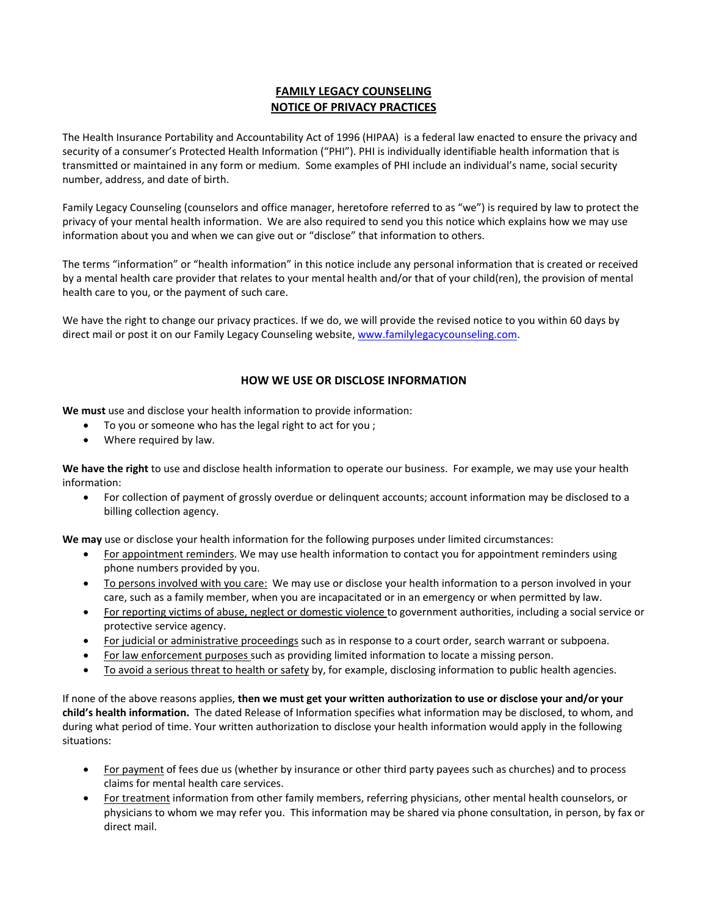# **FAMILY LEGACY COUNSELING NOTICE OF PRIVACY PRACTICES**

The Health Insurance Portability and Accountability Act of 1996 (HIPAA) is a federal law enacted to ensure the privacy and security of a consumer's Protected Health Information ("PHI"). PHI is individually identifiable health information that is transmitted or maintained in any form or medium. Some examples of PHI include an individual's name, social security number, address, and date of birth.

Family Legacy Counseling (counselors and office manager, heretofore referred to as "we") is required by law to protect the privacy of your mental health information. We are also required to send you this notice which explains how we may use information about you and when we can give out or "disclose" that information to others.

The terms "information" or "health information" in this notice include any personal information that is created or received by a mental health care provider that relates to your mental health and/or that of your child(ren), the provision of mental health care to you, or the payment of such care.

We have the right to change our privacy practices. If we do, we will provide the revised notice to you within 60 days by direct mail or post it on our Family Legacy Counseling website, www.familylegacycounseling.com.

## **HOW WE USE OR DISCLOSE INFORMATION**

**We must** use and disclose your health information to provide information:

- To you or someone who has the legal right to act for you ;
- Where required by law.

**We have the right** to use and disclose health information to operate our business. For example, we may use your health information:

 For collection of payment of grossly overdue or delinquent accounts; account information may be disclosed to a billing collection agency.

**We may** use or disclose your health information for the following purposes under limited circumstances:

- For appointment reminders. We may use health information to contact you for appointment reminders using phone numbers provided by you.
- To persons involved with you care: We may use or disclose your health information to a person involved in your care, such as a family member, when you are incapacitated or in an emergency or when permitted by law.
- For reporting victims of abuse, neglect or domestic violence to government authorities, including a social service or protective service agency.
- For judicial or administrative proceedings such as in response to a court order, search warrant or subpoena.
- For law enforcement purposes such as providing limited information to locate a missing person.
- To avoid a serious threat to health or safety by, for example, disclosing information to public health agencies.

If none of the above reasons applies, **then we must get your written authorization to use or disclose your and/or your child's health information.** The dated Release of Information specifies what information may be disclosed, to whom, and during what period of time. Your written authorization to disclose your health information would apply in the following situations:

- For payment of fees due us (whether by insurance or other third party payees such as churches) and to process claims for mental health care services.
- For treatment information from other family members, referring physicians, other mental health counselors, or physicians to whom we may refer you. This information may be shared via phone consultation, in person, by fax or direct mail.